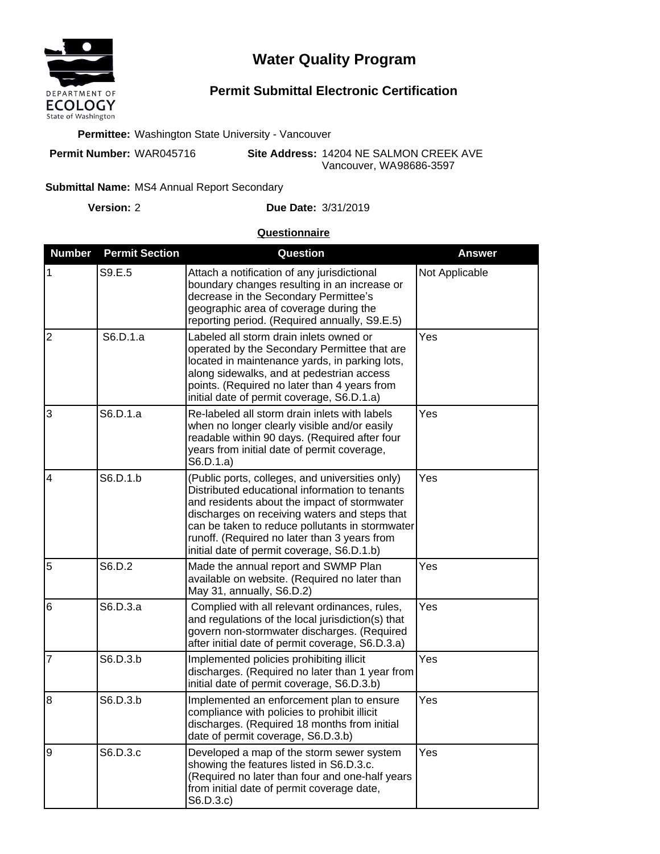

## **Water Quality Program**

## **Permit Submittal Electronic Certification**

**Permittee:** Washington State University - Vancouver

**Permit Number:** WAR045716

**Site Address:** 14204 NE SALMON CREEK AVE Vancouver, WA 98686-3597

## Submittal Name: MS4 Annual Report Secondary

**Version:**

2 **Due Date:** 3/31/2019

## **Questionnaire**

| <b>Number</b>  | <b>Permit Section</b> | Question                                                                                                                                                                                                                                                                                                                                            | <b>Answer</b>  |
|----------------|-----------------------|-----------------------------------------------------------------------------------------------------------------------------------------------------------------------------------------------------------------------------------------------------------------------------------------------------------------------------------------------------|----------------|
| 1              | S9.E.5                | Attach a notification of any jurisdictional<br>boundary changes resulting in an increase or<br>decrease in the Secondary Permittee's<br>geographic area of coverage during the<br>reporting period. (Required annually, S9.E.5)                                                                                                                     | Not Applicable |
| $\overline{2}$ | S6.D.1.a              | Labeled all storm drain inlets owned or<br>operated by the Secondary Permittee that are<br>located in maintenance yards, in parking lots,<br>along sidewalks, and at pedestrian access<br>points. (Required no later than 4 years from<br>initial date of permit coverage, S6.D.1.a)                                                                | Yes            |
| 3              | S6.D.1.a              | Re-labeled all storm drain inlets with labels<br>when no longer clearly visible and/or easily<br>readable within 90 days. (Required after four<br>years from initial date of permit coverage,<br>S6.D.1.a)                                                                                                                                          | Yes            |
| 4              | S6.D.1.b              | (Public ports, colleges, and universities only)<br>Distributed educational information to tenants<br>and residents about the impact of stormwater<br>discharges on receiving waters and steps that<br>can be taken to reduce pollutants in stormwater<br>runoff. (Required no later than 3 years from<br>initial date of permit coverage, S6.D.1.b) | Yes            |
| 5              | S6.D.2                | Made the annual report and SWMP Plan<br>available on website. (Required no later than<br>May 31, annually, S6.D.2)                                                                                                                                                                                                                                  | Yes            |
| 6              | S6.D.3.a              | Complied with all relevant ordinances, rules,<br>and regulations of the local jurisdiction(s) that<br>govern non-stormwater discharges. (Required<br>after initial date of permit coverage, S6.D.3.a)                                                                                                                                               | Yes            |
| 7              | S6.D.3.b              | Implemented policies prohibiting illicit<br>discharges. (Required no later than 1 year from<br>initial date of permit coverage, S6.D.3.b)                                                                                                                                                                                                           | Yes            |
| $\overline{8}$ | S6.D.3.b              | Implemented an enforcement plan to ensure<br>compliance with policies to prohibit illicit<br>discharges. (Required 18 months from initial<br>date of permit coverage, S6.D.3.b)                                                                                                                                                                     | Yes            |
| $\overline{9}$ | S6.D.3.c              | Developed a map of the storm sewer system<br>showing the features listed in S6.D.3.c.<br>(Required no later than four and one-half years<br>from initial date of permit coverage date,<br>S6.D.3.c)                                                                                                                                                 | Yes            |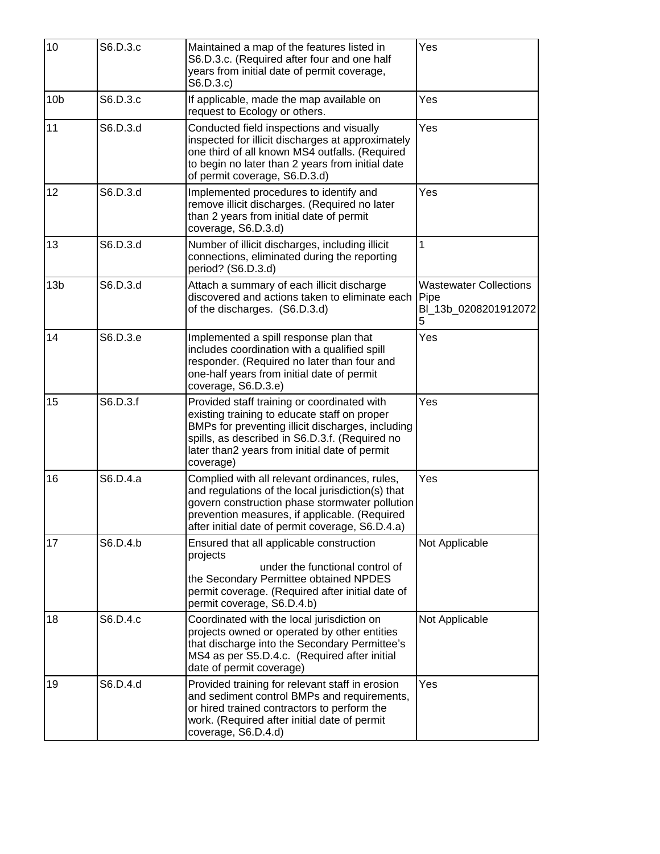| 10              | S6.D.3.c | Maintained a map of the features listed in<br>S6.D.3.c. (Required after four and one half<br>years from initial date of permit coverage,<br>S6.D.3.c)                                                                                                            | Yes                                                                |
|-----------------|----------|------------------------------------------------------------------------------------------------------------------------------------------------------------------------------------------------------------------------------------------------------------------|--------------------------------------------------------------------|
| 10 <sub>b</sub> | S6.D.3.c | If applicable, made the map available on<br>request to Ecology or others.                                                                                                                                                                                        | Yes                                                                |
| 11              | S6.D.3.d | Conducted field inspections and visually<br>inspected for illicit discharges at approximately<br>one third of all known MS4 outfalls. (Required<br>to begin no later than 2 years from initial date<br>of permit coverage, S6.D.3.d)                             | Yes                                                                |
| 12              | S6.D.3.d | Implemented procedures to identify and<br>remove illicit discharges. (Required no later<br>than 2 years from initial date of permit<br>coverage, S6.D.3.d)                                                                                                       | Yes                                                                |
| 13              | S6.D.3.d | Number of illicit discharges, including illicit<br>connections, eliminated during the reporting<br>period? (S6.D.3.d)                                                                                                                                            | 1                                                                  |
| 13 <sub>b</sub> | S6.D.3.d | Attach a summary of each illicit discharge<br>discovered and actions taken to eliminate each<br>of the discharges. (S6.D.3.d)                                                                                                                                    | <b>Wastewater Collections</b><br>Pipe<br>BI 13b 0208201912072<br>5 |
| 14              | S6.D.3.e | Implemented a spill response plan that<br>includes coordination with a qualified spill<br>responder. (Required no later than four and<br>one-half years from initial date of permit<br>coverage, S6.D.3.e)                                                       | Yes                                                                |
| 15              | S6.D.3.f | Provided staff training or coordinated with<br>existing training to educate staff on proper<br>BMPs for preventing illicit discharges, including<br>spills, as described in S6.D.3.f. (Required no<br>later than2 years from initial date of permit<br>coverage) | Yes                                                                |
| 16              | S6.D.4.a | Complied with all relevant ordinances, rules,<br>and regulations of the local jurisdiction(s) that<br>govern construction phase stormwater pollution<br>prevention measures, if applicable. (Required<br>after initial date of permit coverage, S6.D.4.a)        | Yes                                                                |
| 17              | S6.D.4.b | Ensured that all applicable construction<br>projects<br>under the functional control of<br>the Secondary Permittee obtained NPDES<br>permit coverage. (Required after initial date of<br>permit coverage, S6.D.4.b)                                              | Not Applicable                                                     |
| 18              | S6.D.4.c | Coordinated with the local jurisdiction on<br>projects owned or operated by other entities<br>that discharge into the Secondary Permittee's<br>MS4 as per S5.D.4.c. (Required after initial<br>date of permit coverage)                                          | Not Applicable                                                     |
| 19              | S6.D.4.d | Provided training for relevant staff in erosion<br>and sediment control BMPs and requirements,<br>or hired trained contractors to perform the<br>work. (Required after initial date of permit<br>coverage, S6.D.4.d)                                             | Yes                                                                |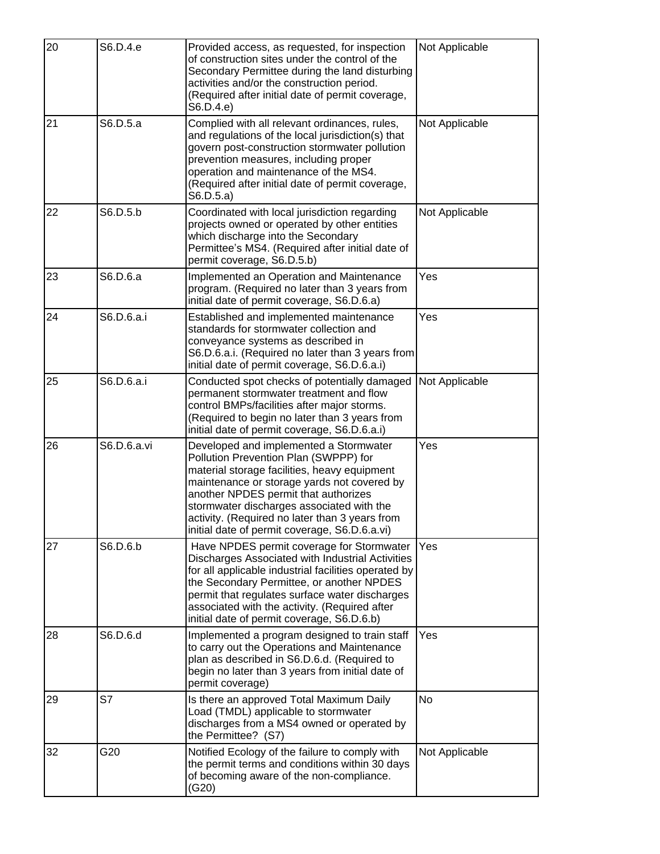| 20 | S6.D.4.e    | Provided access, as requested, for inspection<br>of construction sites under the control of the<br>Secondary Permittee during the land disturbing<br>activities and/or the construction period.<br>(Required after initial date of permit coverage,<br>S6.D.4.e)                                                                                                       | Not Applicable |
|----|-------------|------------------------------------------------------------------------------------------------------------------------------------------------------------------------------------------------------------------------------------------------------------------------------------------------------------------------------------------------------------------------|----------------|
| 21 | S6.D.5.a    | Complied with all relevant ordinances, rules,<br>and regulations of the local jurisdiction(s) that<br>govern post-construction stormwater pollution<br>prevention measures, including proper<br>operation and maintenance of the MS4.<br>(Required after initial date of permit coverage,<br>S6.D.5.a)                                                                 | Not Applicable |
| 22 | S6.D.5.b    | Coordinated with local jurisdiction regarding<br>projects owned or operated by other entities<br>which discharge into the Secondary<br>Permittee's MS4. (Required after initial date of<br>permit coverage, S6.D.5.b)                                                                                                                                                  | Not Applicable |
| 23 | S6.D.6.a    | Implemented an Operation and Maintenance<br>program. (Required no later than 3 years from<br>initial date of permit coverage, S6.D.6.a)                                                                                                                                                                                                                                | Yes            |
| 24 | S6.D.6.a.i  | Established and implemented maintenance<br>standards for stormwater collection and<br>conveyance systems as described in<br>S6.D.6.a.i. (Required no later than 3 years from<br>initial date of permit coverage, S6.D.6.a.i)                                                                                                                                           | Yes            |
| 25 | S6.D.6.a.i  | Conducted spot checks of potentially damaged<br>permanent stormwater treatment and flow<br>control BMPs/facilities after major storms.<br>(Required to begin no later than 3 years from<br>initial date of permit coverage, S6.D.6.a.i)                                                                                                                                | Not Applicable |
| 26 | S6.D.6.a.vi | Developed and implemented a Stormwater<br>Pollution Prevention Plan (SWPPP) for<br>material storage facilities, heavy equipment<br>maintenance or storage yards not covered by<br>another NPDES permit that authorizes<br>stormwater discharges associated with the<br>activity. (Required no later than 3 years from<br>initial date of permit coverage, S6.D.6.a.vi) | Yes            |
| 27 | S6.D.6.b    | Have NPDES permit coverage for Stormwater<br>Discharges Associated with Industrial Activities<br>for all applicable industrial facilities operated by<br>the Secondary Permittee, or another NPDES<br>permit that regulates surface water discharges<br>associated with the activity. (Required after<br>initial date of permit coverage, S6.D.6.b)                    | Yes            |
| 28 | S6.D.6.d    | Implemented a program designed to train staff<br>to carry out the Operations and Maintenance<br>plan as described in S6.D.6.d. (Required to<br>begin no later than 3 years from initial date of<br>permit coverage)                                                                                                                                                    | Yes            |
| 29 | S7          | Is there an approved Total Maximum Daily<br>Load (TMDL) applicable to stormwater<br>discharges from a MS4 owned or operated by<br>the Permittee? (S7)                                                                                                                                                                                                                  | <b>No</b>      |
| 32 | G20         | Notified Ecology of the failure to comply with<br>the permit terms and conditions within 30 days<br>of becoming aware of the non-compliance.<br>(G20)                                                                                                                                                                                                                  | Not Applicable |